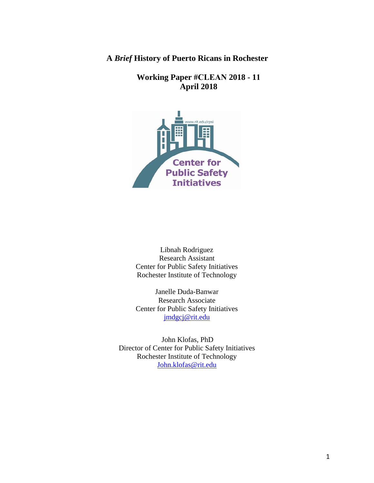**A** *Brief* **History of Puerto Ricans in Rochester** 

**Working Paper #CLEAN 2018 - 11 April 2018** 



Libnah Rodriguez Research Assistant Center for Public Safety Initiatives Rochester Institute of Technology

Janelle Duda-Banwar Research Associate Center for Public Safety Initiatives [jmdgcj@rit.edu](mailto:jmdgcj@rit.edu)

 John Klofas, PhD Director of Center for Public Safety Initiatives Rochester Institute of Technology [John.klofas@rit.edu](mailto:John.klofas@rit.edu)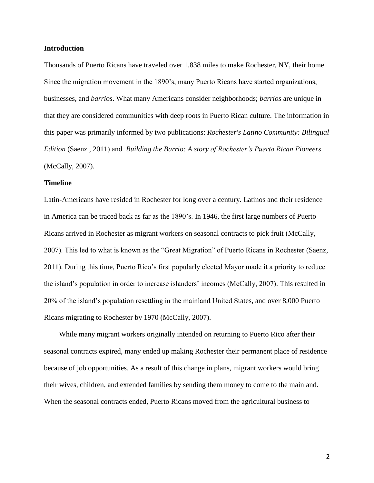## **Introduction**

Thousands of Puerto Ricans have traveled over 1,838 miles to make Rochester, NY, their home. Since the migration movement in the 1890's, many Puerto Ricans have started organizations, businesses, and *barrios*. What many Americans consider neighborhoods; *barrios* are unique in that they are considered communities with deep roots in Puerto Rican culture. The information in this paper was primarily informed by two publications: *Rochester's Latino Community: Bilingual Edition* (Saenz , 2011) and *Building the Barrio: A story of Rochester's Puerto Rican Pioneers* (McCally, 2007).

## **Timeline**

Latin-Americans have resided in Rochester for long over a century. Latinos and their residence in America can be traced back as far as the 1890's. In 1946, the first large numbers of Puerto Ricans arrived in Rochester as migrant workers on seasonal contracts to pick fruit (McCally, 2007). This led to what is known as the "Great Migration" of Puerto Ricans in Rochester (Saenz, 2011). During this time, Puerto Rico's first popularly elected Mayor made it a priority to reduce the island's population in order to increase islanders' incomes (McCally, 2007). This resulted in 20% of the island's population resettling in the mainland United States, and over 8,000 Puerto Ricans migrating to Rochester by 1970 (McCally, 2007).

While many migrant workers originally intended on returning to Puerto Rico after their seasonal contracts expired, many ended up making Rochester their permanent place of residence because of job opportunities. As a result of this change in plans, migrant workers would bring their wives, children, and extended families by sending them money to come to the mainland. When the seasonal contracts ended, Puerto Ricans moved from the agricultural business to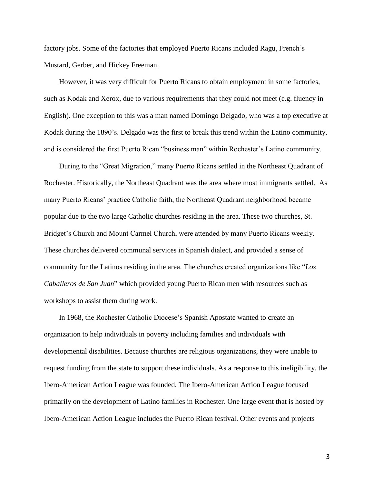factory jobs. Some of the factories that employed Puerto Ricans included Ragu, French's Mustard, Gerber, and Hickey Freeman.

However, it was very difficult for Puerto Ricans to obtain employment in some factories, such as Kodak and Xerox, due to various requirements that they could not meet (e.g. fluency in English). One exception to this was a man named Domingo Delgado, who was a top executive at Kodak during the 1890's. Delgado was the first to break this trend within the Latino community, and is considered the first Puerto Rican "business man" within Rochester's Latino community.

During to the "Great Migration," many Puerto Ricans settled in the Northeast Quadrant of Rochester. Historically, the Northeast Quadrant was the area where most immigrants settled. As many Puerto Ricans' practice Catholic faith, the Northeast Quadrant neighborhood became popular due to the two large Catholic churches residing in the area. These two churches, St. Bridget's Church and Mount Carmel Church, were attended by many Puerto Ricans weekly. These churches delivered communal services in Spanish dialect, and provided a sense of community for the Latinos residing in the area. The churches created organizations like "*Los Caballeros de San Juan*" which provided young Puerto Rican men with resources such as workshops to assist them during work.

In 1968, the Rochester Catholic Diocese's Spanish Apostate wanted to create an organization to help individuals in poverty including families and individuals with developmental disabilities. Because churches are religious organizations, they were unable to request funding from the state to support these individuals. As a response to this ineligibility, the Ibero-American Action League was founded. The Ibero-American Action League focused primarily on the development of Latino families in Rochester. One large event that is hosted by Ibero-American Action League includes the Puerto Rican festival. Other events and projects

3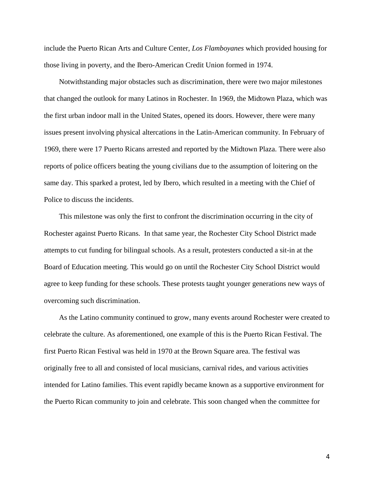include the Puerto Rican Arts and Culture Center, *Los Flamboyanes* which provided housing for those living in poverty, and the Ibero-American Credit Union formed in 1974.

Notwithstanding major obstacles such as discrimination, there were two major milestones that changed the outlook for many Latinos in Rochester. In 1969, the Midtown Plaza, which was the first urban indoor mall in the United States, opened its doors. However, there were many issues present involving physical altercations in the Latin-American community. In February of 1969, there were 17 Puerto Ricans arrested and reported by the Midtown Plaza. There were also reports of police officers beating the young civilians due to the assumption of loitering on the same day. This sparked a protest, led by Ibero, which resulted in a meeting with the Chief of Police to discuss the incidents.

This milestone was only the first to confront the discrimination occurring in the city of Rochester against Puerto Ricans. In that same year, the Rochester City School District made attempts to cut funding for bilingual schools. As a result, protesters conducted a sit-in at the Board of Education meeting. This would go on until the Rochester City School District would agree to keep funding for these schools. These protests taught younger generations new ways of overcoming such discrimination.

As the Latino community continued to grow, many events around Rochester were created to celebrate the culture. As aforementioned, one example of this is the Puerto Rican Festival. The first Puerto Rican Festival was held in 1970 at the Brown Square area. The festival was originally free to all and consisted of local musicians, carnival rides, and various activities intended for Latino families. This event rapidly became known as a supportive environment for the Puerto Rican community to join and celebrate. This soon changed when the committee for

4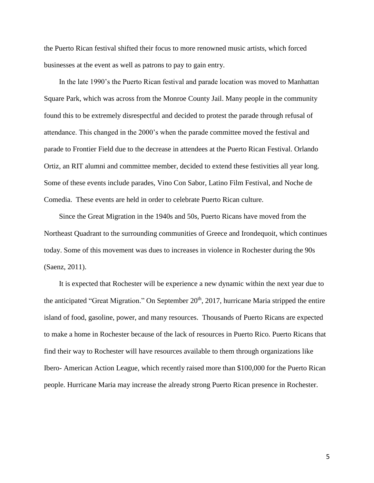the Puerto Rican festival shifted their focus to more renowned music artists, which forced businesses at the event as well as patrons to pay to gain entry.

In the late 1990's the Puerto Rican festival and parade location was moved to Manhattan Square Park, which was across from the Monroe County Jail. Many people in the community found this to be extremely disrespectful and decided to protest the parade through refusal of attendance. This changed in the 2000's when the parade committee moved the festival and parade to Frontier Field due to the decrease in attendees at the Puerto Rican Festival. Orlando Ortiz, an RIT alumni and committee member, decided to extend these festivities all year long. Some of these events include parades, Vino Con Sabor, Latino Film Festival, and Noche de Comedia. These events are held in order to celebrate Puerto Rican culture.

Since the Great Migration in the 1940s and 50s, Puerto Ricans have moved from the Northeast Quadrant to the surrounding communities of Greece and Irondequoit, which continues today. Some of this movement was dues to increases in violence in Rochester during the 90s (Saenz, 2011).

It is expected that Rochester will be experience a new dynamic within the next year due to the anticipated "Great Migration." On September 20<sup>th</sup>, 2017, hurricane Maria stripped the entire island of food, gasoline, power, and many resources. Thousands of Puerto Ricans are expected to make a home in Rochester because of the lack of resources in Puerto Rico. Puerto Ricans that find their way to Rochester will have resources available to them through organizations like Ibero- American Action League, which recently raised more than \$100,000 for the Puerto Rican people. Hurricane Maria may increase the already strong Puerto Rican presence in Rochester.